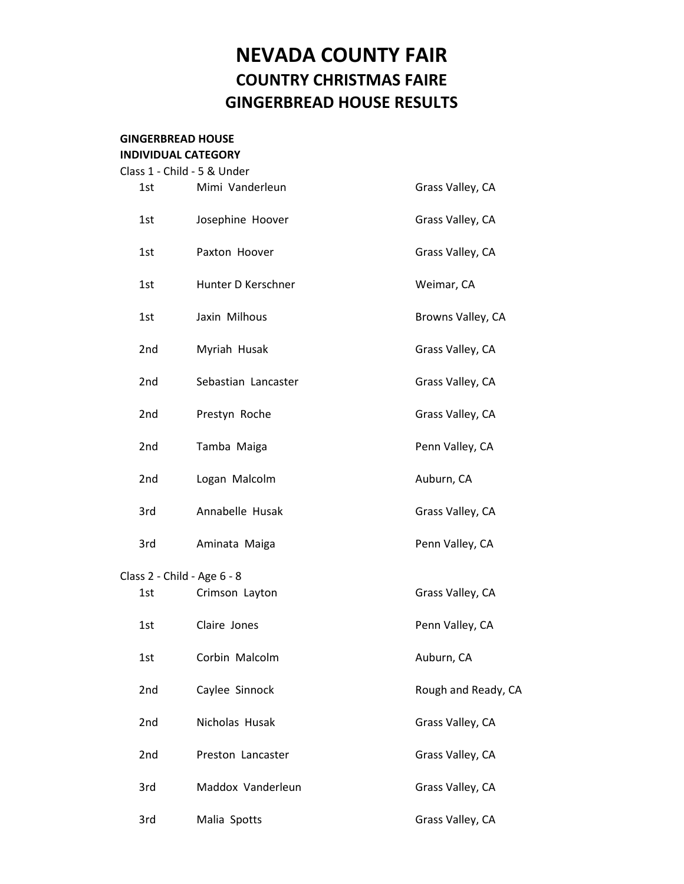# **NEVADA COUNTY FAIR COUNTRY CHRISTMAS FAIRE GINGERBREAD HOUSE RESULTS**

#### **GINGERBREAD HOUSE INDIVIDUAL CATEGORY**

| Class 1 - Child - 5 & Under |     |                     |                     |  |  |  |  |
|-----------------------------|-----|---------------------|---------------------|--|--|--|--|
|                             | 1st | Mimi Vanderleun     | Grass Valley, CA    |  |  |  |  |
|                             | 1st | Josephine Hoover    | Grass Valley, CA    |  |  |  |  |
|                             | 1st | Paxton Hoover       | Grass Valley, CA    |  |  |  |  |
|                             | 1st | Hunter D Kerschner  | Weimar, CA          |  |  |  |  |
|                             | 1st | Jaxin Milhous       | Browns Valley, CA   |  |  |  |  |
|                             | 2nd | Myriah Husak        | Grass Valley, CA    |  |  |  |  |
|                             | 2nd | Sebastian Lancaster | Grass Valley, CA    |  |  |  |  |
|                             | 2nd | Prestyn Roche       | Grass Valley, CA    |  |  |  |  |
|                             | 2nd | Tamba Maiga         | Penn Valley, CA     |  |  |  |  |
|                             | 2nd | Logan Malcolm       | Auburn, CA          |  |  |  |  |
|                             | 3rd | Annabelle Husak     | Grass Valley, CA    |  |  |  |  |
|                             | 3rd | Aminata Maiga       | Penn Valley, CA     |  |  |  |  |
| Class 2 - Child - Age 6 - 8 |     |                     |                     |  |  |  |  |
|                             | 1st | Crimson Layton      | Grass Valley, CA    |  |  |  |  |
|                             | 1st | Claire Jones        | Penn Valley, CA     |  |  |  |  |
|                             | 1st | Corbin Malcolm      | Auburn, CA          |  |  |  |  |
|                             | 2nd | Caylee Sinnock      | Rough and Ready, CA |  |  |  |  |
|                             | 2nd | Nicholas Husak      | Grass Valley, CA    |  |  |  |  |
|                             | 2nd | Preston Lancaster   | Grass Valley, CA    |  |  |  |  |
|                             | 3rd | Maddox Vanderleun   | Grass Valley, CA    |  |  |  |  |
|                             | 3rd | Malia Spotts        | Grass Valley, CA    |  |  |  |  |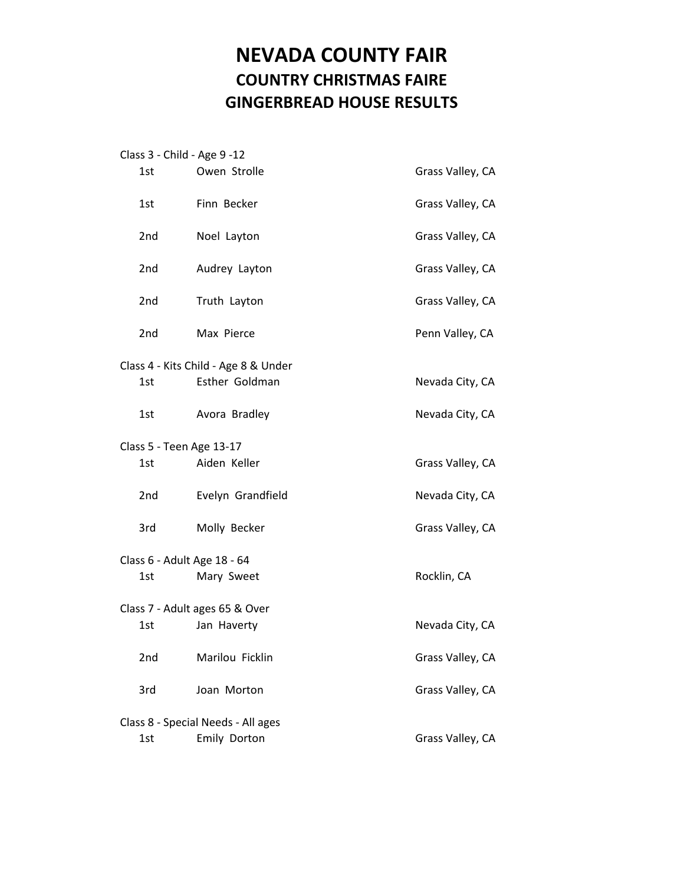# **NEVADA COUNTY FAIR COUNTRY CHRISTMAS FAIRE GINGERBREAD HOUSE RESULTS**

|                             | Class 3 - Child - Age 9 -12          |                  |  |  |  |
|-----------------------------|--------------------------------------|------------------|--|--|--|
| 1st                         | Owen Strolle                         | Grass Valley, CA |  |  |  |
| 1st                         | Finn Becker                          | Grass Valley, CA |  |  |  |
| 2nd                         | Noel Layton                          | Grass Valley, CA |  |  |  |
| 2nd                         | Audrey Layton                        | Grass Valley, CA |  |  |  |
| 2nd                         | Truth Layton                         | Grass Valley, CA |  |  |  |
| 2nd                         | Max Pierce                           | Penn Valley, CA  |  |  |  |
|                             | Class 4 - Kits Child - Age 8 & Under |                  |  |  |  |
| 1st                         | Esther Goldman                       | Nevada City, CA  |  |  |  |
| 1st                         | Avora Bradley                        | Nevada City, CA  |  |  |  |
| Class 5 - Teen Age 13-17    |                                      |                  |  |  |  |
| 1st                         | Aiden Keller                         | Grass Valley, CA |  |  |  |
| 2nd                         | Evelyn Grandfield                    | Nevada City, CA  |  |  |  |
| 3rd                         | Molly Becker                         | Grass Valley, CA |  |  |  |
| Class 6 - Adult Age 18 - 64 |                                      |                  |  |  |  |
| 1st                         | Mary Sweet                           | Rocklin, CA      |  |  |  |
|                             | Class 7 - Adult ages 65 & Over       |                  |  |  |  |
| 1st                         | Jan Haverty                          | Nevada City, CA  |  |  |  |
| 2nd                         | Marilou Ficklin                      | Grass Valley, CA |  |  |  |
| 3rd                         | Joan Morton                          | Grass Valley, CA |  |  |  |
|                             | Class 8 - Special Needs - All ages   |                  |  |  |  |
| 1st                         | Emily Dorton                         | Grass Valley, CA |  |  |  |